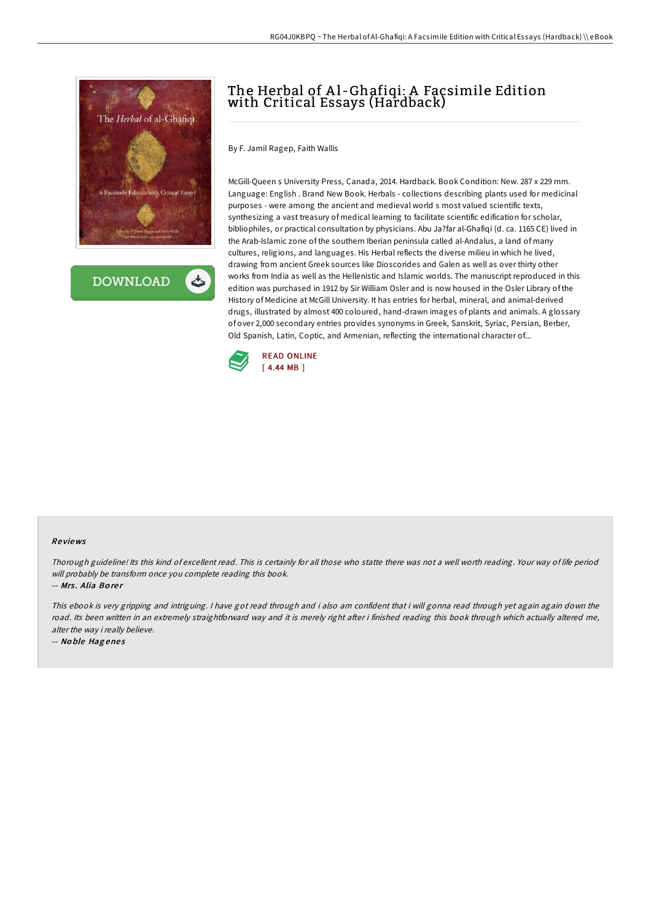

**DOWNLOAD** 

# The Herbal of Al-Ghafiqi: A Façsimile Edition with Critical Essays (Hardback)

By F. Jamil Ragep, Faith Wallis

McGill-Queen s University Press, Canada, 2014. Hardback. Book Condition: New. 287 x 229 mm. Language: English . Brand New Book. Herbals - collections describing plants used for medicinal purposes - were among the ancient and medieval world s most valued scientific texts, synthesizing a vast treasury of medical learning to facilitate scientific edification for scholar, bibliophiles, or practical consultation by physicians. Abu Ja?far al-Ghafiqi (d. ca. 1165 CE) lived in the Arab-Islamic zone of the southern Iberian peninsula called al-Andalus, a land of many cultures, religions, and languages. His Herbal reflects the diverse milieu in which he lived, drawing from ancient Greek sources like Dioscorides and Galen as well as over thirty other works from India as well as the Hellenistic and Islamic worlds. The manuscript reproduced in this edition was purchased in 1912 by Sir William Osler and is now housed in the Osler Library of the History of Medicine at McGill University. It has entries for herbal, mineral, and animal-derived drugs, illustrated by almost 400 coloured, hand-drawn images of plants and animals. A glossary of over 2,000 secondary entries provides synonyms in Greek, Sanskrit, Syriac, Persian, Berber, Old Spanish, Latin, Coptic, and Armenian, reflecting the international character of...



### Re views

Thorough guideline! Its this kind of excellent read. This is certainly for all those who statte there was not <sup>a</sup> well worth reading. Your way of life period will probably be transform once you complete reading this book.

-- Mrs. Alia Borer

This ebook is very gripping and intriguing. <sup>I</sup> have got read through and i also am confident that i will gonna read through yet again again down the road. Its been written in an extremely straightforward way and it is merely right after i finished reading this book through which actually altered me, alter the way i really believe.

-- No ble Hag ene <sup>s</sup>